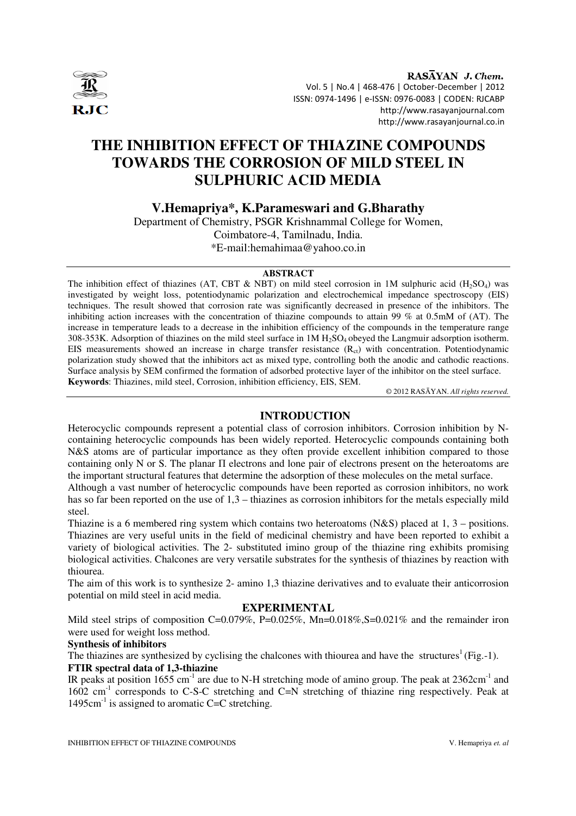

RASAYAN J. Chem. Vol. 5 | No.4 | 468-476 | October-December | 2012 ISSN: 0974-1496 | e-ISSN: 0976-0083 | CODEN: RJCABP http://www.rasayanjournal.com http://www.rasayanjournal.co.in

# **THE INHIBITION EFFECT OF THIAZINE COMPOUNDS TOWARDS THE CORROSION OF MILD STEEL IN SULPHURIC ACID MEDIA**

**V.Hemapriya\*, K.Parameswari and G.Bharathy** 

Department of Chemistry, PSGR Krishnammal College for Women, Coimbatore-4, Tamilnadu, India. \*E-mail:hemahimaa@yahoo.co.in

## **ABSTRACT**

The inhibition effect of thiazines (AT, CBT & NBT) on mild steel corrosion in 1M sulphuric acid (H<sub>2</sub>SO<sub>4</sub>) was investigated by weight loss, potentiodynamic polarization and electrochemical impedance spectroscopy (EIS) techniques. The result showed that corrosion rate was significantly decreased in presence of the inhibitors. The inhibiting action increases with the concentration of thiazine compounds to attain 99 % at 0.5mM of (AT). The increase in temperature leads to a decrease in the inhibition efficiency of the compounds in the temperature range 308-353K. Adsorption of thiazines on the mild steel surface in 1M H<sub>2</sub>SO<sub>4</sub> obeyed the Langmuir adsorption isotherm. EIS measurements showed an increase in charge transfer resistance  $(R<sub>ct</sub>)$  with concentration. Potentiodynamic polarization study showed that the inhibitors act as mixed type, controlling both the anodic and cathodic reactions. Surface analysis by SEM confirmed the formation of adsorbed protective layer of the inhibitor on the steel surface. **Keywords**: Thiazines, mild steel, Corrosion, inhibition efficiency, EIS, SEM.

© 2012 RASĀYAN. *All rights reserved.*

# **INTRODUCTION**

Heterocyclic compounds represent a potential class of corrosion inhibitors. Corrosion inhibition by Ncontaining heterocyclic compounds has been widely reported. Heterocyclic compounds containing both N&S atoms are of particular importance as they often provide excellent inhibition compared to those containing only N or S. The planar Π electrons and lone pair of electrons present on the heteroatoms are the important structural features that determine the adsorption of these molecules on the metal surface.

Although a vast number of heterocyclic compounds have been reported as corrosion inhibitors, no work has so far been reported on the use of 1,3 – thiazines as corrosion inhibitors for the metals especially mild steel.

Thiazine is a 6 membered ring system which contains two heteroatoms (N&S) placed at 1, 3 – positions. Thiazines are very useful units in the field of medicinal chemistry and have been reported to exhibit a variety of biological activities. The 2- substituted imino group of the thiazine ring exhibits promising biological activities. Chalcones are very versatile substrates for the synthesis of thiazines by reaction with thiourea.

The aim of this work is to synthesize 2- amino 1,3 thiazine derivatives and to evaluate their anticorrosion potential on mild steel in acid media.

# **EXPERIMENTAL**

Mild steel strips of composition C=0.079%, P=0.025%, Mn=0.018%, S=0.021% and the remainder iron were used for weight loss method.

## **Synthesis of inhibitors**

The thiazines are synthesized by cyclising the chalcones with thiourea and have the structures<sup>1</sup>(Fig.-1).

# **FTIR spectral data of 1,3-thiazine**

IR peaks at position 1655 cm<sup>-1</sup> are due to N-H stretching mode of amino group. The peak at  $2362 \text{cm}^{-1}$  and 1602 cm<sup>-1</sup> corresponds to C-S-C stretching and C=N stretching of thiazine ring respectively. Peak at 1495cm $^{-1}$  is assigned to aromatic C=C stretching.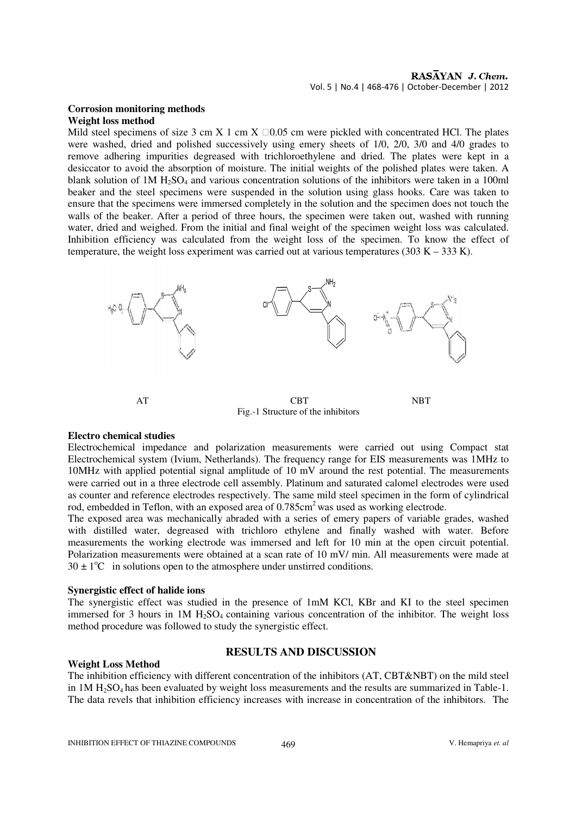# RASAYAN J. Chem. Vol. 5 | No.4 | 468-476 | October-December | 2012

#### **Corrosion monitoring methods Weight loss method**

Mild steel specimens of size 3 cm X 1 cm X  $\Box$  0.05 cm were pickled with concentrated HCl. The plates were washed, dried and polished successively using emery sheets of 1/0, 2/0, 3/0 and 4/0 grades to remove adhering impurities degreased with trichloroethylene and dried. The plates were kept in a desiccator to avoid the absorption of moisture. The initial weights of the polished plates were taken. A blank solution of 1M H<sub>2</sub>SO<sub>4</sub> and various concentration solutions of the inhibitors were taken in a 100ml beaker and the steel specimens were suspended in the solution using glass hooks. Care was taken to ensure that the specimens were immersed completely in the solution and the specimen does not touch the walls of the beaker. After a period of three hours, the specimen were taken out, washed with running water, dried and weighed. From the initial and final weight of the specimen weight loss was calculated. Inhibition efficiency was calculated from the weight loss of the specimen. To know the effect of temperature, the weight loss experiment was carried out at various temperatures (303 K – 333 K).



#### **Electro chemical studies**

Electrochemical impedance and polarization measurements were carried out using Compact stat Electrochemical system (Ivium, Netherlands). The frequency range for EIS measurements was 1MHz to 10MHz with applied potential signal amplitude of 10 mV around the rest potential. The measurements were carried out in a three electrode cell assembly. Platinum and saturated calomel electrodes were used as counter and reference electrodes respectively. The same mild steel specimen in the form of cylindrical rod, embedded in Teflon, with an exposed area of 0.785cm<sup>2</sup> was used as working electrode.

The exposed area was mechanically abraded with a series of emery papers of variable grades, washed with distilled water, degreased with trichloro ethylene and finally washed with water. Before measurements the working electrode was immersed and left for 10 min at the open circuit potential. Polarization measurements were obtained at a scan rate of 10 mV/ min. All measurements were made at  $30 \pm 1$ <sup>o</sup>C in solutions open to the atmosphere under unstirred conditions.

# **Synergistic effect of halide ions**

The synergistic effect was studied in the presence of 1mM KCl, KBr and KI to the steel specimen immersed for 3 hours in  $1M H<sub>2</sub>SO<sub>4</sub>$  containing various concentration of the inhibitor. The weight loss method procedure was followed to study the synergistic effect.

# **RESULTS AND DISCUSSION**

**Weight Loss Method** The inhibition efficiency with different concentration of the inhibitors (AT, CBT&NBT) on the mild steel in  $1M H<sub>2</sub>SO<sub>4</sub>$  has been evaluated by weight loss measurements and the results are summarized in Table-1. The data revels that inhibition efficiency increases with increase in concentration of the inhibitors. The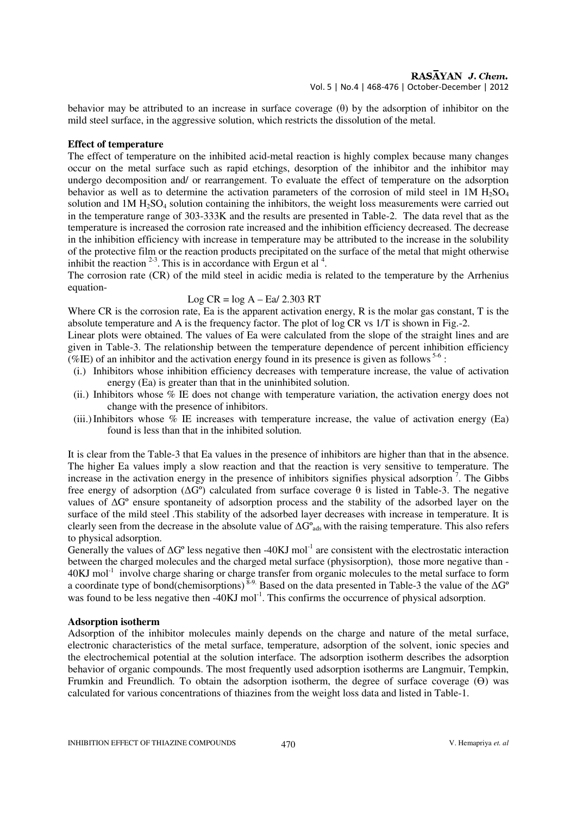# RASAYAN J. Chem.

Vol. 5 | No.4 | 468-476 | October-December | 2012

behavior may be attributed to an increase in surface coverage (θ) by the adsorption of inhibitor on the mild steel surface, in the aggressive solution, which restricts the dissolution of the metal.

#### **Effect of temperature**

The effect of temperature on the inhibited acid-metal reaction is highly complex because many changes occur on the metal surface such as rapid etchings, desorption of the inhibitor and the inhibitor may undergo decomposition and/ or rearrangement. To evaluate the effect of temperature on the adsorption behavior as well as to determine the activation parameters of the corrosion of mild steel in 1M  $H_2SO_4$ solution and  $1M H<sub>2</sub>SO<sub>4</sub>$  solution containing the inhibitors, the weight loss measurements were carried out in the temperature range of 303-333K and the results are presented in Table-2. The data revel that as the temperature is increased the corrosion rate increased and the inhibition efficiency decreased. The decrease in the inhibition efficiency with increase in temperature may be attributed to the increase in the solubility of the protective film or the reaction products precipitated on the surface of the metal that might otherwise inhibit the reaction  $2-3$ . This is in accordance with Ergun et al  $4$ .

The corrosion rate (CR) of the mild steel in acidic media is related to the temperature by the Arrhenius equation-

#### Log  $CR = log A - Eq/ 2.303 RT$

Where CR is the corrosion rate, Ea is the apparent activation energy, R is the molar gas constant, T is the absolute temperature and A is the frequency factor. The plot of log CR vs 1/T is shown in Fig.-2.

Linear plots were obtained. The values of Ea were calculated from the slope of the straight lines and are given in Table-3. The relationship between the temperature dependence of percent inhibition efficiency (%IE) of an inhibitor and the activation energy found in its presence is given as follows  $5-6$ :

- (i.) Inhibitors whose inhibition efficiency decreases with temperature increase, the value of activation energy (Ea) is greater than that in the uninhibited solution.
- (ii.) Inhibitors whose % IE does not change with temperature variation, the activation energy does not change with the presence of inhibitors.
- (iii.) Inhibitors whose  $\%$  IE increases with temperature increase, the value of activation energy (Ea) found is less than that in the inhibited solution.

It is clear from the Table-3 that Ea values in the presence of inhibitors are higher than that in the absence. The higher Ea values imply a slow reaction and that the reaction is very sensitive to temperature. The increase in the activation energy in the presence of inhibitors signifies physical adsorption<sup>7</sup>. The Gibbs free energy of adsorption (∆Gº) calculated from surface coverage θ is listed in Table-3. The negative values of ∆Gº ensure spontaneity of adsorption process and the stability of the adsorbed layer on the surface of the mild steel .This stability of the adsorbed layer decreases with increase in temperature. It is clearly seen from the decrease in the absolute value of ∆G<sup>o</sup><sub>ads</sub> with the raising temperature. This also refers to physical adsorption.

Generally the values of  $\Delta G^{\circ}$  less negative then -40KJ mol<sup>-1</sup> are consistent with the electrostatic interaction between the charged molecules and the charged metal surface (physisorption), those more negative than - 40KJ mol<sup>-1</sup> involve charge sharing or charge transfer from organic molecules to the metal surface to form a coordinate type of bond(chemisorptions)<sup>8-9.</sup> Based on the data presented in Table-3 the value of the ∆G<sup>°</sup> was found to be less negative then -40KJ mol<sup>-1</sup>. This confirms the occurrence of physical adsorption.

#### **Adsorption isotherm**

Adsorption of the inhibitor molecules mainly depends on the charge and nature of the metal surface, electronic characteristics of the metal surface, temperature, adsorption of the solvent, ionic species and the electrochemical potential at the solution interface. The adsorption isotherm describes the adsorption behavior of organic compounds. The most frequently used adsorption isotherms are Langmuir, Tempkin, Frumkin and Freundlich. To obtain the adsorption isotherm, the degree of surface coverage (Ө) was calculated for various concentrations of thiazines from the weight loss data and listed in Table-1.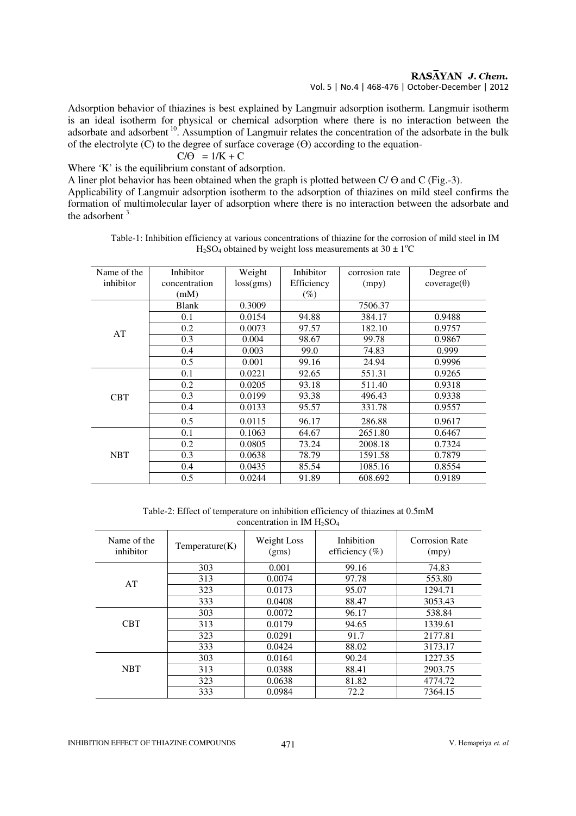RASAYAN J. Chem.

Vol. 5 | No.4 | 468-476 | October-December | 2012

Adsorption behavior of thiazines is best explained by Langmuir adsorption isotherm. Langmuir isotherm is an ideal isotherm for physical or chemical adsorption where there is no interaction between the adsorbate and adsorbent  $10$ . Assumption of Langmuir relates the concentration of the adsorbate in the bulk of the electrolyte (C) to the degree of surface coverage ( $\Theta$ ) according to the equation-

$$
C/\Theta = 1/K + C
$$

Where 'K' is the equilibrium constant of adsorption.

A liner plot behavior has been obtained when the graph is plotted between  $C/\Theta$  and  $C$  (Fig.-3).

Applicability of Langmuir adsorption isotherm to the adsorption of thiazines on mild steel confirms the formation of multimolecular layer of adsorption where there is no interaction between the adsorbate and the adsorbent 3. 

| Name of the | Inhibitor     | Weight    | Inhibitor  | corrosion rate | Degree of          |
|-------------|---------------|-----------|------------|----------------|--------------------|
| inhibitor   | concentration | loss(gms) | Efficiency | (mpy)          | $coverage(\theta)$ |
|             | (mM)          |           | $(\%)$     |                |                    |
|             | <b>Blank</b>  | 0.3009    |            | 7506.37        |                    |
|             | 0.1           | 0.0154    | 94.88      | 384.17         | 0.9488             |
| AT          | 0.2           | 0.0073    | 97.57      | 182.10         | 0.9757             |
|             | 0.3           | 0.004     | 98.67      | 99.78          | 0.9867             |
|             | 0.4           | 0.003     | 99.0       | 74.83          | 0.999              |
|             | 0.5           | 0.001     | 99.16      | 24.94          | 0.9996             |
|             | 0.1           | 0.0221    | 92.65      | 551.31         | 0.9265             |
|             | 0.2           | 0.0205    | 93.18      | 511.40         | 0.9318             |
| <b>CBT</b>  | 0.3           | 0.0199    | 93.38      | 496.43         | 0.9338             |
|             | 0.4           | 0.0133    | 95.57      | 331.78         | 0.9557             |
|             | 0.5           | 0.0115    | 96.17      | 286.88         | 0.9617             |
| <b>NBT</b>  | 0.1           | 0.1063    | 64.67      | 2651.80        | 0.6467             |
|             | 0.2           | 0.0805    | 73.24      | 2008.18        | 0.7324             |
|             | 0.3           | 0.0638    | 78.79      | 1591.58        | 0.7879             |
|             | 0.4           | 0.0435    | 85.54      | 1085.16        | 0.8554             |
|             | 0.5           | 0.0244    | 91.89      | 608.692        | 0.9189             |

Table-1: Inhibition efficiency at various concentrations of thiazine for the corrosion of mild steel in IM H<sub>2</sub>SO<sub>4</sub> obtained by weight loss measurements at  $30 \pm 1$ <sup>o</sup>C

Table-2: Effect of temperature on inhibition efficiency of thiazines at 0.5mM concentration in IM  $H<sub>2</sub>SO<sub>4</sub>$ 

| Name of the<br>inhibitor | Temperature(K) | Weight Loss<br>(gms) | Inhibition<br>efficiency $(\% )$ | Corrosion Rate<br>(mpy) |
|--------------------------|----------------|----------------------|----------------------------------|-------------------------|
|                          | 303            | 0.001                | 99.16                            | 74.83                   |
| AT                       | 313            | 0.0074               | 97.78                            | 553.80                  |
|                          | 323            | 0.0173               | 95.07                            | 1294.71                 |
|                          | 333            | 0.0408               | 88.47                            | 3053.43                 |
|                          | 303            | 0.0072               | 96.17                            | 538.84                  |
| <b>CBT</b>               | 313            | 0.0179               | 94.65                            | 1339.61                 |
|                          | 323            | 0.0291               | 91.7                             | 2177.81                 |
|                          | 333            | 0.0424               | 88.02                            | 3173.17                 |
|                          | 303            | 0.0164               | 90.24                            | 1227.35                 |
| <b>NBT</b>               | 313            | 0.0388               | 88.41                            | 2903.75                 |
|                          | 323            | 0.0638               | 81.82                            | 4774.72                 |
|                          | 333            | 0.0984               | 72.2                             | 7364.15                 |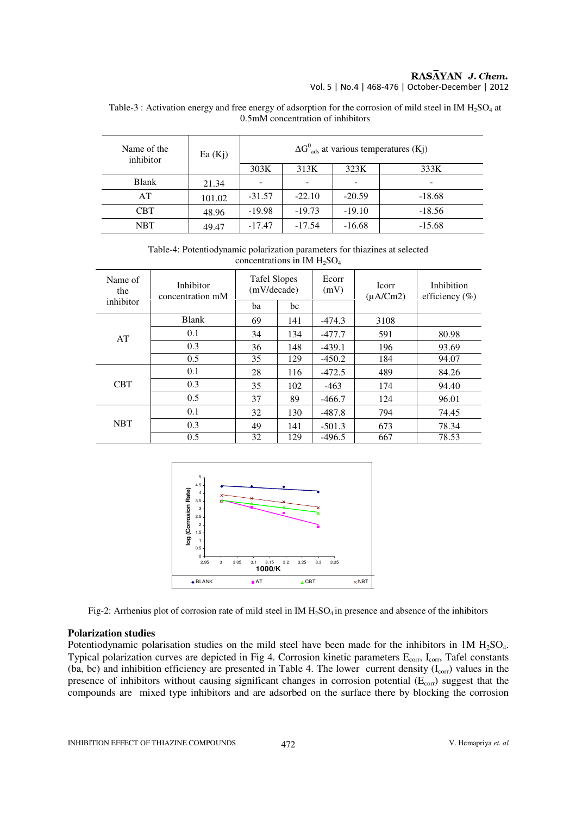#### RASĀYAN J. Chem. Vol. 5 | No.4 | 468-476 | October-December | 2012

Table-3 : Activation energy and free energy of adsorption for the corrosion of mild steel in IM  $H_2SO_4$  at 0.5mM concentration of inhibitors

| Name of the<br>inhibitor | Ea(Kj) | $\Delta G^0_{ads}$ at various temperatures (Kj) |          |          |          |  |  |
|--------------------------|--------|-------------------------------------------------|----------|----------|----------|--|--|
|                          |        | 303K                                            | 313K     | 323K     | 333K     |  |  |
| <b>Blank</b>             | 21.34  |                                                 |          |          | -        |  |  |
| AT                       | 101.02 | $-31.57$                                        | $-22.10$ | $-20.59$ | $-18.68$ |  |  |
| <b>CBT</b>               | 48.96  | $-19.98$                                        | $-19.73$ | $-19.10$ | $-18.56$ |  |  |
| <b>NBT</b>               | 49.47  | $-17.47$                                        | $-17.54$ | $-16.68$ | $-15.68$ |  |  |

Table-4: Potentiodynamic polarization parameters for thiazines at selected concentrations in IM  $H_2SO_4$ 

| Name of<br>the | Inhibitor<br>concentration mM | <b>Tafel Slopes</b><br>(mV/decade) |     | Ecorr<br>(mV) | <b>Icorr</b><br>$(\mu A/Cm2)$ | Inhibition<br>efficiency $(\% )$ |
|----------------|-------------------------------|------------------------------------|-----|---------------|-------------------------------|----------------------------------|
| inhibitor      |                               | ba                                 | bc  |               |                               |                                  |
| AT             | <b>Blank</b>                  | 69                                 | 141 | $-474.3$      | 3108                          |                                  |
|                | 0.1                           | 34                                 | 134 | $-477.7$      | 591                           | 80.98                            |
|                | 0.3                           | 36                                 | 148 | $-439.1$      | 196                           | 93.69                            |
|                | 0.5                           | 35                                 | 129 | $-450.2$      | 184                           | 94.07                            |
| <b>CBT</b>     | 0.1                           | 28                                 | 116 | $-472.5$      | 489                           | 84.26                            |
|                | 0.3                           | 35                                 | 102 | $-463$        | 174                           | 94.40                            |
|                | 0.5                           | 37                                 | 89  | $-466.7$      | 124                           | 96.01                            |
| <b>NBT</b>     | 0.1                           | 32                                 | 130 | $-487.8$      | 794                           | 74.45                            |
|                | 0.3                           | 49                                 | 141 | $-501.3$      | 673                           | 78.34                            |
|                | 0.5                           | 32                                 | 129 | $-496.5$      | 667                           | 78.53                            |



Fig-2: Arrhenius plot of corrosion rate of mild steel in IM  $H_2SO_4$  in presence and absence of the inhibitors

#### **Polarization studies**

Potentiodynamic polarisation studies on the mild steel have been made for the inhibitors in  $1M H_2SO_4$ . Typical polarization curves are depicted in Fig 4. Corrosion kinetic parameters E<sub>corr</sub>, I<sub>corr</sub>, Tafel constants (ba, bc) and inhibition efficiency are presented in Table 4. The lower current density  $(I_{corr})$  values in the presence of inhibitors without causing significant changes in corrosion potential  $(E_{\text{corr}})$  suggest that the compounds are mixed type inhibitors and are adsorbed on the surface there by blocking the corrosion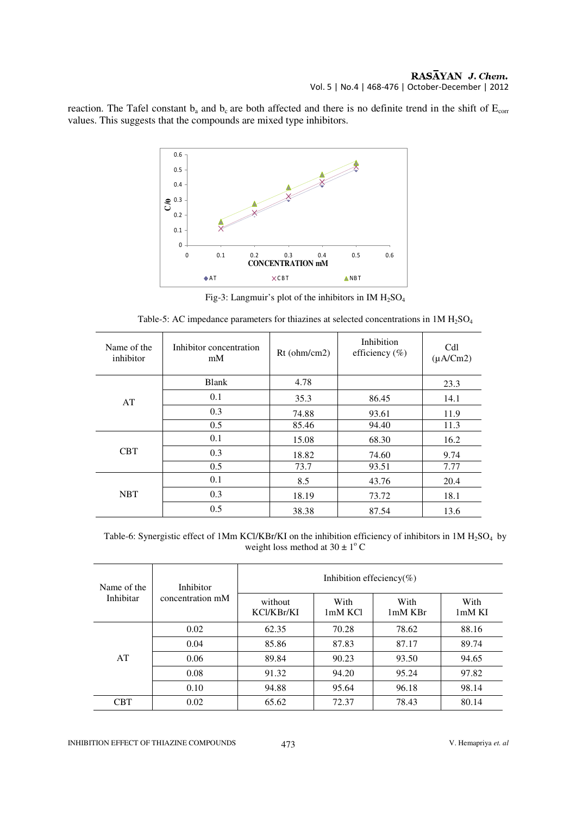reaction. The Tafel constant  $b_a$  and  $b_c$  are both affected and there is no definite trend in the shift of  $E_{corr}$ values. This suggests that the compounds are mixed type inhibitors.



Fig-3: Langmuir's plot of the inhibitors in IM  $H<sub>2</sub>SO<sub>4</sub>$ 

| Name of the<br>inhibitor | Inhibitor concentration<br>mM | Rt (ohm/cm2) | Inhibition<br>efficiency $(\%)$ | Cdl<br>$(\mu A/Cm2)$ |
|--------------------------|-------------------------------|--------------|---------------------------------|----------------------|
|                          | <b>Blank</b>                  | 4.78         |                                 | 23.3                 |
| AT                       | 0.1                           | 35.3         | 86.45                           | 14.1                 |
|                          | 0.3                           | 74.88        | 93.61                           | 11.9                 |
|                          | 0.5                           | 85.46        | 94.40                           | 11.3                 |
| <b>CBT</b>               | 0.1                           | 15.08        | 68.30                           | 16.2                 |
|                          | 0.3                           | 18.82        | 74.60                           | 9.74                 |
|                          | 0.5                           | 73.7         | 93.51                           | 7.77                 |
| <b>NBT</b>               | 0.1                           | 8.5          | 43.76                           | 20.4                 |
|                          | 0.3                           | 18.19        | 73.72                           | 18.1                 |
|                          | 0.5                           | 38.38        | 87.54                           | 13.6                 |

Table-6: Synergistic effect of 1Mm KCl/KBr/KI on the inhibition efficiency of inhibitors in 1M  $H_2SO_4$  by weight loss method at  $30 \pm 1^{\circ}$  C

| Name of the<br>Inhibitar | Inhibitor<br>concentration mM | Inhibition effeciency(%) |                 |                   |                  |  |  |
|--------------------------|-------------------------------|--------------------------|-----------------|-------------------|------------------|--|--|
|                          |                               | without<br>KCl/KBr/KI    | With<br>1mM KCl | With<br>$1mM$ KBr | With<br>$1mM$ KI |  |  |
| AT                       | 0.02                          | 62.35                    | 70.28           | 78.62             | 88.16            |  |  |
|                          | 0.04                          | 85.86                    | 87.83           | 87.17             | 89.74            |  |  |
|                          | 0.06                          | 89.84                    | 90.23           | 93.50             | 94.65            |  |  |
|                          | 0.08                          | 91.32                    | 94.20           | 95.24             | 97.82            |  |  |
|                          | 0.10                          | 94.88                    | 95.64           | 96.18             | 98.14            |  |  |
| <b>CBT</b>               | 0.02                          | 65.62                    | 72.37           | 78.43             | 80.14            |  |  |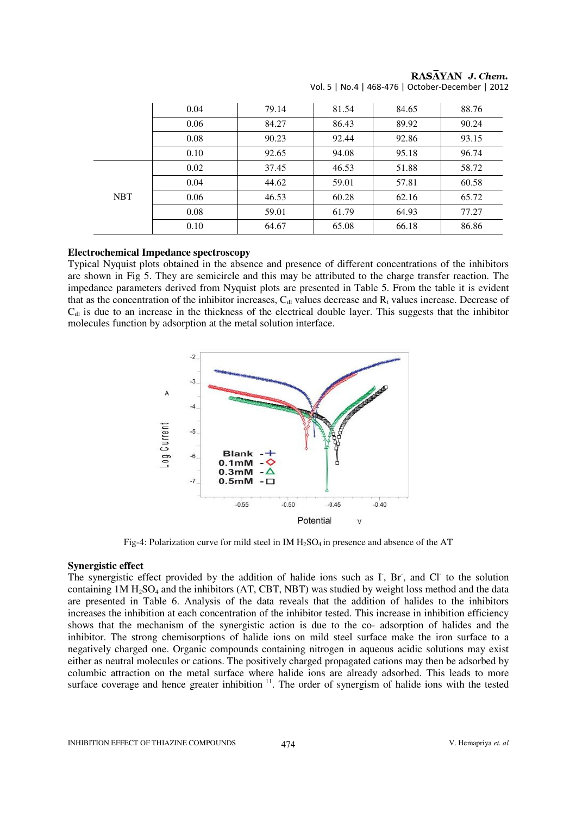|            | 0.04 | 79.14 | 81.54 | 84.65 | 88.76 |
|------------|------|-------|-------|-------|-------|
|            | 0.06 | 84.27 | 86.43 | 89.92 | 90.24 |
|            | 0.08 | 90.23 | 92.44 | 92.86 | 93.15 |
|            | 0.10 | 92.65 | 94.08 | 95.18 | 96.74 |
| <b>NBT</b> | 0.02 | 37.45 | 46.53 | 51.88 | 58.72 |
|            | 0.04 | 44.62 | 59.01 | 57.81 | 60.58 |
|            | 0.06 | 46.53 | 60.28 | 62.16 | 65.72 |
|            | 0.08 | 59.01 | 61.79 | 64.93 | 77.27 |
|            | 0.10 | 64.67 | 65.08 | 66.18 | 86.86 |

RASAYAN J. Chem. Vol. 5 | No.4 | 468-476 | October-December | 2012

#### **Electrochemical Impedance spectroscopy**

Typical Nyquist plots obtained in the absence and presence of different concentrations of the inhibitors are shown in Fig 5. They are semicircle and this may be attributed to the charge transfer reaction. The impedance parameters derived from Nyquist plots are presented in Table 5. From the table it is evident that as the concentration of the inhibitor increases,  $C_{\text{dl}}$  values decrease and  $R_{\text{t}}$  values increase. Decrease of  $C<sub>dl</sub>$  is due to an increase in the thickness of the electrical double layer. This suggests that the inhibitor molecules function by adsorption at the metal solution interface.



Fig-4: Polarization curve for mild steel in IM  $H_2SO_4$  in presence and absence of the AT

#### **Synergistic effect**

The synergistic effect provided by the addition of halide ions such as  $\Gamma$ , Br, and Cl to the solution containing  $1M H<sub>2</sub>SO<sub>4</sub>$  and the inhibitors (AT, CBT, NBT) was studied by weight loss method and the data are presented in Table 6. Analysis of the data reveals that the addition of halides to the inhibitors increases the inhibition at each concentration of the inhibitor tested. This increase in inhibition efficiency shows that the mechanism of the synergistic action is due to the co- adsorption of halides and the inhibitor. The strong chemisorptions of halide ions on mild steel surface make the iron surface to a negatively charged one. Organic compounds containing nitrogen in aqueous acidic solutions may exist either as neutral molecules or cations. The positively charged propagated cations may then be adsorbed by columbic attraction on the metal surface where halide ions are already adsorbed. This leads to more surface coverage and hence greater inhibition<sup>11</sup>. The order of synergism of halide ions with the tested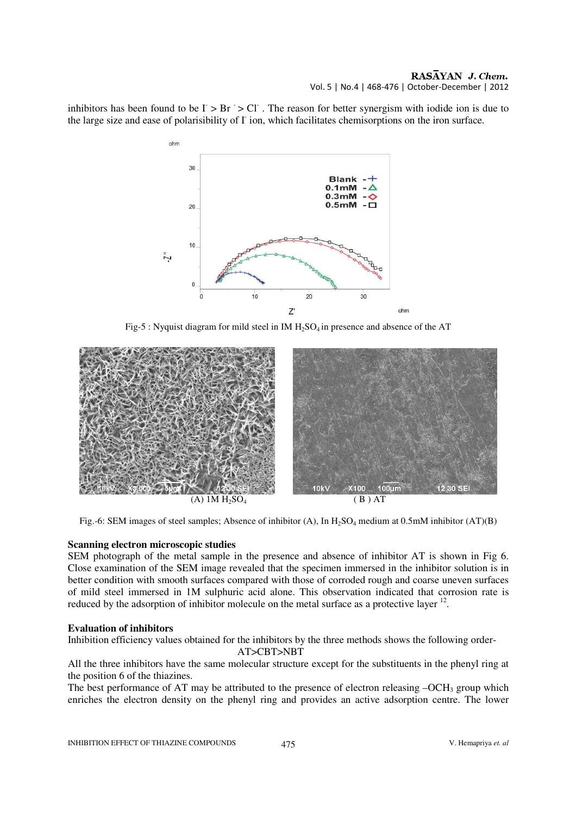#### RASAYAN J. Chem. Vol. 5 | No.4 | 468-476 | October-December | 2012

inhibitors has been found to be  $\Gamma > Br > Cl$ . The reason for better synergism with iodide ion is due to the large size and ease of polarisibility of  $\Gamma$  ion, which facilitates chemisorptions on the iron surface.



Fig-5 : Nyquist diagram for mild steel in IM  $H_2SO_4$  in presence and absence of the AT



Fig.-6: SEM images of steel samples; Absence of inhibitor  $(A)$ , In H<sub>2</sub>SO<sub>4</sub> medium at 0.5mM inhibitor  $(AT)(B)$ 

#### **Scanning electron microscopic studies**

SEM photograph of the metal sample in the presence and absence of inhibitor AT is shown in Fig 6. Close examination of the SEM image revealed that the specimen immersed in the inhibitor solution is in better condition with smooth surfaces compared with those of corroded rough and coarse uneven surfaces of mild steel immersed in 1M sulphuric acid alone. This observation indicated that corrosion rate is reduced by the adsorption of inhibitor molecule on the metal surface as a protective layer  $12$ .

#### **Evaluation of inhibitors**

Inhibition efficiency values obtained for the inhibitors by the three methods shows the following order-

AT>CBT>NBT

All the three inhibitors have the same molecular structure except for the substituents in the phenyl ring at the position 6 of the thiazines.

The best performance of AT may be attributed to the presence of electron releasing  $-OCH_3$  group which enriches the electron density on the phenyl ring and provides an active adsorption centre. The lower